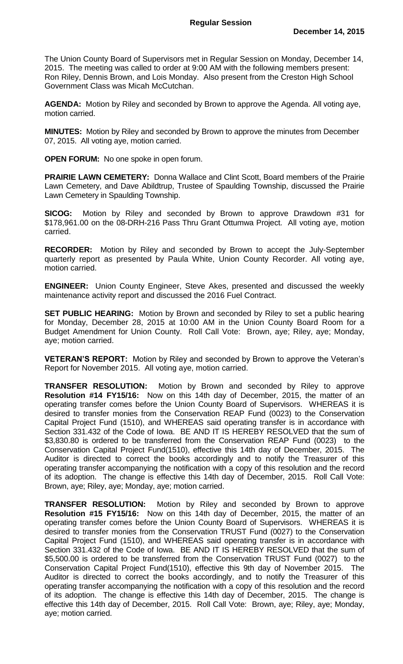The Union County Board of Supervisors met in Regular Session on Monday, December 14, 2015. The meeting was called to order at 9:00 AM with the following members present: Ron Riley, Dennis Brown, and Lois Monday. Also present from the Creston High School Government Class was Micah McCutchan.

**AGENDA:** Motion by Riley and seconded by Brown to approve the Agenda. All voting aye, motion carried.

**MINUTES:** Motion by Riley and seconded by Brown to approve the minutes from December 07, 2015. All voting aye, motion carried.

**OPEN FORUM:** No one spoke in open forum.

**PRAIRIE LAWN CEMETERY:** Donna Wallace and Clint Scott, Board members of the Prairie Lawn Cemetery, and Dave Abildtrup, Trustee of Spaulding Township, discussed the Prairie Lawn Cemetery in Spaulding Township.

**SICOG:** Motion by Riley and seconded by Brown to approve Drawdown #31 for \$178,961.00 on the 08-DRH-216 Pass Thru Grant Ottumwa Project. All voting aye, motion carried.

**RECORDER:** Motion by Riley and seconded by Brown to accept the July-September quarterly report as presented by Paula White, Union County Recorder. All voting aye, motion carried.

**ENGINEER:** Union County Engineer, Steve Akes, presented and discussed the weekly maintenance activity report and discussed the 2016 Fuel Contract.

**SET PUBLIC HEARING:** Motion by Brown and seconded by Riley to set a public hearing for Monday, December 28, 2015 at 10:00 AM in the Union County Board Room for a Budget Amendment for Union County. Roll Call Vote: Brown, aye; Riley, aye; Monday, aye; motion carried.

**VETERAN'S REPORT:** Motion by Riley and seconded by Brown to approve the Veteran's Report for November 2015. All voting aye, motion carried.

**TRANSFER RESOLUTION:** Motion by Brown and seconded by Riley to approve **Resolution #14 FY15/16:** Now on this 14th day of December, 2015, the matter of an operating transfer comes before the Union County Board of Supervisors. WHEREAS it is desired to transfer monies from the Conservation REAP Fund (0023) to the Conservation Capital Project Fund (1510), and WHEREAS said operating transfer is in accordance with Section 331.432 of the Code of Iowa. BE AND IT IS HEREBY RESOLVED that the sum of \$3,830.80 is ordered to be transferred from the Conservation REAP Fund (0023) to the Conservation Capital Project Fund(1510), effective this 14th day of December, 2015. The Auditor is directed to correct the books accordingly and to notify the Treasurer of this operating transfer accompanying the notification with a copy of this resolution and the record of its adoption. The change is effective this 14th day of December, 2015. Roll Call Vote: Brown, aye; Riley, aye; Monday, aye; motion carried.

**TRANSFER RESOLUTION:** Motion by Riley and seconded by Brown to approve **Resolution #15 FY15/16:** Now on this 14th day of December, 2015, the matter of an operating transfer comes before the Union County Board of Supervisors. WHEREAS it is desired to transfer monies from the Conservation TRUST Fund (0027) to the Conservation Capital Project Fund (1510), and WHEREAS said operating transfer is in accordance with Section 331.432 of the Code of Iowa. BE AND IT IS HEREBY RESOLVED that the sum of \$5,500.00 is ordered to be transferred from the Conservation TRUST Fund (0027) to the Conservation Capital Project Fund(1510), effective this 9th day of November 2015. The Auditor is directed to correct the books accordingly, and to notify the Treasurer of this operating transfer accompanying the notification with a copy of this resolution and the record of its adoption. The change is effective this 14th day of December, 2015. The change is effective this 14th day of December, 2015. Roll Call Vote: Brown, aye; Riley, aye; Monday, aye; motion carried.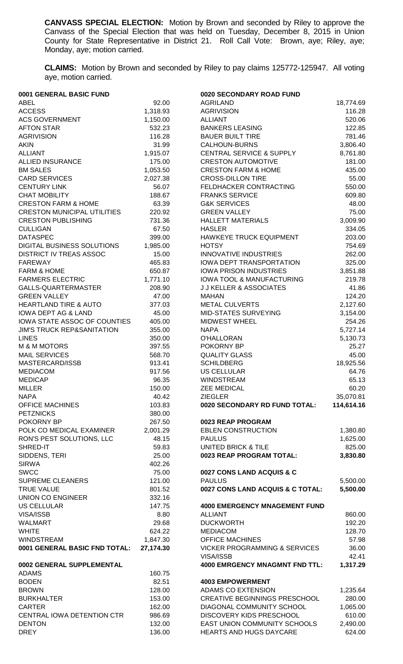**CANVASS SPECIAL ELECTION:** Motion by Brown and seconded by Riley to approve the Canvass of the Special Election that was held on Tuesday, December 8, 2015 in Union County for State Representative in District 21. Roll Call Vote: Brown, aye; Riley, aye; Monday, aye; motion carried.

**CLAIMS:** Motion by Brown and seconded by Riley to pay claims 125772-125947. All voting aye, motion carried.

| 0001 GENERAL BASIC FUND               |           | 0020 SECONDARY ROAD FUND                 |            |
|---------------------------------------|-----------|------------------------------------------|------------|
| <b>ABEL</b>                           | 92.00     | <b>AGRILAND</b>                          | 18,774.69  |
| <b>ACCESS</b>                         | 1,318.93  | <b>AGRIVISION</b>                        | 116.28     |
| <b>ACS GOVERNMENT</b>                 | 1,150.00  | <b>ALLIANT</b>                           | 520.06     |
| <b>AFTON STAR</b>                     | 532.23    | <b>BANKERS LEASING</b>                   | 122.85     |
| <b>AGRIVISION</b>                     | 116.28    | <b>BAUER BUILT TIRE</b>                  | 781.46     |
| <b>AKIN</b>                           | 31.99     | <b>CALHOUN-BURNS</b>                     | 3,806.40   |
| <b>ALLIANT</b>                        | 1,915.07  | <b>CENTRAL SERVICE &amp; SUPPLY</b>      | 8,761.80   |
| <b>ALLIED INSURANCE</b>               | 175.00    | <b>CRESTON AUTOMOTIVE</b>                | 181.00     |
| <b>BM SALES</b>                       | 1,053.50  | <b>CRESTON FARM &amp; HOME</b>           | 435.00     |
| <b>CARD SERVICES</b>                  | 2,027.38  | <b>CROSS-DILLON TIRE</b>                 | 55.00      |
| <b>CENTURY LINK</b>                   | 56.07     | FELDHACKER CONTRACTING                   | 550.00     |
| <b>CHAT MOBILITY</b>                  | 188.67    | <b>FRANKS SERVICE</b>                    | 609.80     |
| <b>CRESTON FARM &amp; HOME</b>        | 63.39     | <b>G&amp;K SERVICES</b>                  | 48.00      |
| <b>CRESTON MUNICIPAL UTILITIES</b>    | 220.92    | <b>GREEN VALLEY</b>                      | 75.00      |
| <b>CRESTON PUBLISHING</b>             | 731.36    | <b>HALLETT MATERIALS</b>                 | 3,009.90   |
| <b>CULLIGAN</b>                       | 67.50     | <b>HASLER</b>                            | 334.05     |
| <b>DATASPEC</b>                       | 399.00    | HAWKEYE TRUCK EQUIPMENT                  | 203.00     |
| DIGITAL BUSINESS SOLUTIONS            | 1,985.00  | <b>HOTSY</b>                             | 754.69     |
| <b>DISTRICT IV TREAS ASSOC</b>        | 15.00     | <b>INNOVATIVE INDUSTRIES</b>             | 262.00     |
| <b>FAREWAY</b>                        | 465.83    | IOWA DEPT TRANSPORTATION                 | 325.00     |
| <b>FARM &amp; HOME</b>                | 650.87    | <b>IOWA PRISON INDUSTRIES</b>            | 3,851.88   |
|                                       |           | <b>IOWA TOOL &amp; MANUFACTURING</b>     |            |
| <b>FARMERS ELECTRIC</b>               | 1,771.10  |                                          | 219.78     |
| GALLS-QUARTERMASTER                   | 208.90    | <b>J J KELLER &amp; ASSOCIATES</b>       | 41.86      |
| <b>GREEN VALLEY</b>                   | 47.00     | <b>MAHAN</b>                             | 124.20     |
| <b>HEARTLAND TIRE &amp; AUTO</b>      | 377.03    | <b>METAL CULVERTS</b>                    | 2,127.60   |
| <b>IOWA DEPT AG &amp; LAND</b>        | 45.00     | MID-STATES SURVEYING                     | 3,154.00   |
| IOWA STATE ASSOC OF COUNTIES          | 405.00    | <b>MIDWEST WHEEL</b>                     | 254.26     |
| <b>JIM'S TRUCK REP&amp;SANITATION</b> | 355.00    | <b>NAPA</b>                              | 5,727.14   |
| <b>LINES</b>                          | 350.00    | O'HALLORAN                               | 5,130.73   |
| <b>M &amp; M MOTORS</b>               | 397.55    | POKORNY BP                               | 25.27      |
| <b>MAIL SERVICES</b>                  | 568.70    | <b>QUALITY GLASS</b>                     | 45.00      |
| MASTERCARD/ISSB                       | 913.41    | <b>SCHILDBERG</b>                        | 18,925.56  |
| <b>MEDIACOM</b>                       | 917.56    | <b>US CELLULAR</b>                       | 64.76      |
| <b>MEDICAP</b>                        | 96.35     | <b>WINDSTREAM</b>                        | 65.13      |
| <b>MILLER</b>                         | 150.00    | <b>ZEE MEDICAL</b>                       | 60.20      |
| <b>NAPA</b>                           | 40.42     | <b>ZIEGLER</b>                           | 35,070.81  |
| <b>OFFICE MACHINES</b>                | 103.83    | 0020 SECONDARY RD FUND TOTAL:            | 114,614.16 |
| <b>PETZNICKS</b>                      | 380.00    |                                          |            |
| POKORNY BP                            | 267.50    | 0023 REAP PROGRAM                        |            |
| POLK CO MEDICAL EXAMINER              | 2,001.29  | <b>EBLEN CONSTRUCTION</b>                | 1,380.80   |
| RON'S PEST SOLUTIONS, LLC             | 48.15     | <b>PAULUS</b>                            | 1,625.00   |
| SHRED-IT                              | 59.83     | <b>UNITED BRICK &amp; TILE</b>           | 825.00     |
| SIDDENS, TERI                         | 25.00     | 0023 REAP PROGRAM TOTAL:                 | 3,830.80   |
| <b>SIRWA</b>                          | 402.26    |                                          |            |
| <b>SWCC</b>                           | 75.00     | 0027 CONS LAND ACQUIS & C                |            |
| <b>SUPREME CLEANERS</b>               | 121.00    | <b>PAULUS</b>                            | 5,500.00   |
| <b>TRUE VALUE</b>                     | 801.52    | 0027 CONS LAND ACQUIS & C TOTAL:         | 5,500.00   |
| <b>UNION CO ENGINEER</b>              | 332.16    |                                          |            |
| <b>US CELLULAR</b>                    | 147.75    | <b>4000 EMERGENCY MNAGEMENT FUND</b>     |            |
| VISA/ISSB                             | 8.80      | <b>ALLIANT</b>                           | 860.00     |
| <b>WALMART</b>                        | 29.68     | <b>DUCKWORTH</b>                         | 192.20     |
| <b>WHITE</b>                          | 624.22    | <b>MEDIACOM</b>                          | 128.70     |
| <b>WINDSTREAM</b>                     | 1,847.30  | <b>OFFICE MACHINES</b>                   | 57.98      |
| 0001 GENERAL BASIC FND TOTAL:         | 27,174.30 | <b>VICKER PROGRAMMING &amp; SERVICES</b> | 36.00      |
|                                       |           | <b>VISA/ISSB</b>                         | 42.41      |
| 0002 GENERAL SUPPLEMENTAL             |           | <b>4000 EMRGENCY MNAGMNT FND TTL:</b>    | 1,317.29   |
| <b>ADAMS</b>                          | 160.75    |                                          |            |
| <b>BODEN</b>                          | 82.51     | <b>4003 EMPOWERMENT</b>                  |            |
|                                       |           |                                          |            |
| <b>BROWN</b>                          | 128.00    | ADAMS CO EXTENSION                       | 1,235.64   |
| <b>BURKHALTER</b>                     | 153.00    | <b>CREATIVE BEGINNINGS PRESCHOOL</b>     | 280.00     |
| <b>CARTER</b>                         | 162.00    | DIAGONAL COMMUNITY SCHOOL                | 1,065.00   |
| CENTRAL IOWA DETENTION CTR            | 986.69    | <b>DISCOVERY KIDS PRESCHOOL</b>          | 610.00     |
| <b>DENTON</b>                         | 132.00    | EAST UNION COMMUNITY SCHOOLS             | 2,490.00   |
| <b>DREY</b>                           | 136.00    | <b>HEARTS AND HUGS DAYCARE</b>           | 624.00     |